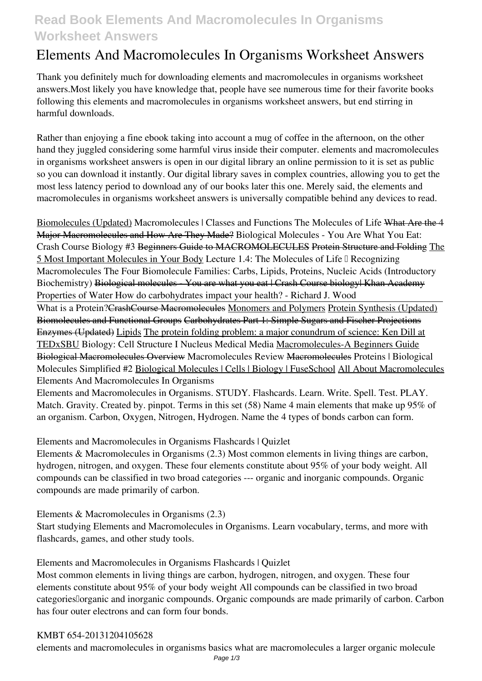## **Read Book Elements And Macromolecules In Organisms Worksheet Answers**

# **Elements And Macromolecules In Organisms Worksheet Answers**

Thank you definitely much for downloading **elements and macromolecules in organisms worksheet answers**.Most likely you have knowledge that, people have see numerous time for their favorite books following this elements and macromolecules in organisms worksheet answers, but end stirring in harmful downloads.

Rather than enjoying a fine ebook taking into account a mug of coffee in the afternoon, on the other hand they juggled considering some harmful virus inside their computer. **elements and macromolecules in organisms worksheet answers** is open in our digital library an online permission to it is set as public so you can download it instantly. Our digital library saves in complex countries, allowing you to get the most less latency period to download any of our books later this one. Merely said, the elements and macromolecules in organisms worksheet answers is universally compatible behind any devices to read.

Biomolecules (Updated) Macromolecules | Classes and Functions The Molecules of Life What Are the 4 Major Macromolecules and How Are They Made? **Biological Molecules - You Are What You Eat: Crash Course Biology #3** Beginners Guide to MACROMOLECULES Protein Structure and Folding The 5 Most Important Molecules in Your Body Lecture 1.4: The Molecules of Life I Recognizing Macromolecules *The Four Biomolecule Families: Carbs, Lipids, Proteins, Nucleic Acids (Introductory* Biochemistry) <del>Biological molecules You are what you eat | Crash Course biology| Khan Academy</del> *Properties of Water* **How do carbohydrates impact your health? - Richard J. Wood**

What is a Protein? Crash Course Macromolecules Monomers and Polymers Protein Synthesis (Updated) Biomolecules and Functional Groups Carbohydrates Part 1: Simple Sugars and Fischer Projections Enzymes (Updated) Lipids The protein folding problem: a major conundrum of science: Ken Dill at TEDxSBU *Biology: Cell Structure I Nucleus Medical Media* Macromolecules-A Beginners Guide Biological Macromolecules Overview *Macromolecules Review* Macromolecules *Proteins | Biological Molecules Simplified #2* Biological Molecules | Cells | Biology | FuseSchool All About Macromolecules Elements And Macromolecules In Organisms

Elements and Macromolecules in Organisms. STUDY. Flashcards. Learn. Write. Spell. Test. PLAY. Match. Gravity. Created by. pinpot. Terms in this set (58) Name 4 main elements that make up 95% of an organism. Carbon, Oxygen, Nitrogen, Hydrogen. Name the 4 types of bonds carbon can form.

Elements and Macromolecules in Organisms Flashcards | Quizlet

Elements & Macromolecules in Organisms (2.3) Most common elements in living things are carbon, hydrogen, nitrogen, and oxygen. These four elements constitute about 95% of your body weight. All compounds can be classified in two broad categories --- organic and inorganic compounds. Organic compounds are made primarily of carbon.

Elements & Macromolecules in Organisms (2.3)

Start studying Elements and Macromolecules in Organisms. Learn vocabulary, terms, and more with flashcards, games, and other study tools.

Elements and Macromolecules in Organisms Flashcards | Quizlet

Most common elements in living things are carbon, hydrogen, nitrogen, and oxygen. These four elements constitute about 95% of your body weight All compounds can be classified in two broad categories lorganic and inorganic compounds. Organic compounds are made primarily of carbon. Carbon has four outer electrons and can form four bonds.

#### KMBT 654-20131204105628

elements and macromolecules in organisms basics what are macromolecules a larger organic molecule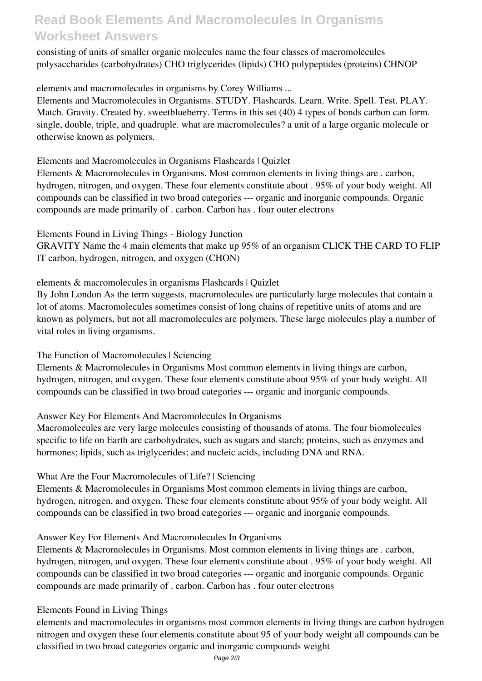### **Read Book Elements And Macromolecules In Organisms Worksheet Answers**

consisting of units of smaller organic molecules name the four classes of macromolecules polysaccharides (carbohydrates) CHO triglycerides (lipids) CHO polypeptides (proteins) CHNOP

elements and macromolecules in organisms by Corey Williams ...

Elements and Macromolecules in Organisms. STUDY. Flashcards. Learn. Write. Spell. Test. PLAY. Match. Gravity. Created by. sweetblueberry. Terms in this set (40) 4 types of bonds carbon can form. single, double, triple, and quadruple. what are macromolecules? a unit of a large organic molecule or otherwise known as polymers.

Elements and Macromolecules in Organisms Flashcards | Quizlet

Elements & Macromolecules in Organisms. Most common elements in living things are . carbon, hydrogen, nitrogen, and oxygen. These four elements constitute about . 95% of your body weight. All compounds can be classified in two broad categories --- organic and inorganic compounds. Organic compounds are made primarily of . carbon. Carbon has . four outer electrons

Elements Found in Living Things - Biology Junction

GRAVITY Name the 4 main elements that make up 95% of an organism CLICK THE CARD TO FLIP IT carbon, hydrogen, nitrogen, and oxygen (CHON)

elements & macromolecules in organisms Flashcards | Quizlet

By John London As the term suggests, macromolecules are particularly large molecules that contain a lot of atoms. Macromolecules sometimes consist of long chains of repetitive units of atoms and are known as polymers, but not all macromolecules are polymers. These large molecules play a number of vital roles in living organisms.

The Function of Macromolecules | Sciencing

Elements & Macromolecules in Organisms Most common elements in living things are carbon, hydrogen, nitrogen, and oxygen. These four elements constitute about 95% of your body weight. All compounds can be classified in two broad categories --- organic and inorganic compounds.

Answer Key For Elements And Macromolecules In Organisms

Macromolecules are very large molecules consisting of thousands of atoms. The four biomolecules specific to life on Earth are carbohydrates, such as sugars and starch; proteins, such as enzymes and hormones; lipids, such as triglycerides; and nucleic acids, including DNA and RNA.

What Are the Four Macromolecules of Life? | Sciencing

Elements & Macromolecules in Organisms Most common elements in living things are carbon, hydrogen, nitrogen, and oxygen. These four elements constitute about 95% of your body weight. All compounds can be classified in two broad categories --- organic and inorganic compounds.

Answer Key For Elements And Macromolecules In Organisms

Elements & Macromolecules in Organisms. Most common elements in living things are . carbon, hydrogen, nitrogen, and oxygen. These four elements constitute about . 95% of your body weight. All compounds can be classified in two broad categories --- organic and inorganic compounds. Organic compounds are made primarily of . carbon. Carbon has . four outer electrons

#### Elements Found in Living Things

elements and macromolecules in organisms most common elements in living things are carbon hydrogen nitrogen and oxygen these four elements constitute about 95 of your body weight all compounds can be classified in two broad categories organic and inorganic compounds weight